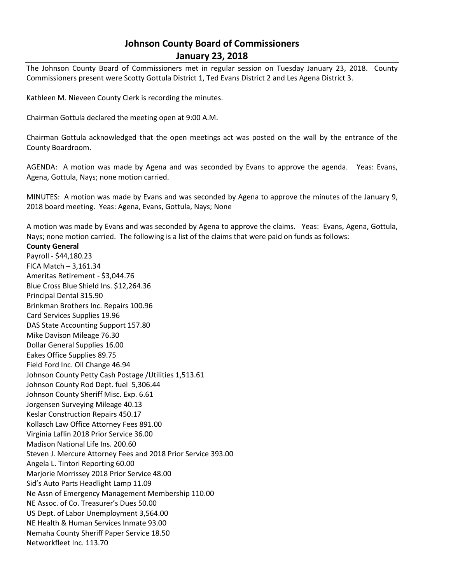# **Johnson County Board of Commissioners January 23, 2018**

The Johnson County Board of Commissioners met in regular session on Tuesday January 23, 2018. County Commissioners present were Scotty Gottula District 1, Ted Evans District 2 and Les Agena District 3.

Kathleen M. Nieveen County Clerk is recording the minutes.

Chairman Gottula declared the meeting open at 9:00 A.M.

Chairman Gottula acknowledged that the open meetings act was posted on the wall by the entrance of the County Boardroom.

AGENDA: A motion was made by Agena and was seconded by Evans to approve the agenda. Yeas: Evans, Agena, Gottula, Nays; none motion carried.

MINUTES: A motion was made by Evans and was seconded by Agena to approve the minutes of the January 9, 2018 board meeting. Yeas: Agena, Evans, Gottula, Nays; None

A motion was made by Evans and was seconded by Agena to approve the claims. Yeas: Evans, Agena, Gottula, Nays; none motion carried. The following is a list of the claims that were paid on funds as follows:

# **County General**

Payroll - \$44,180.23 FICA Match – 3,161.34 Ameritas Retirement - \$3,044.76 Blue Cross Blue Shield Ins. \$12,264.36 Principal Dental 315.90 Brinkman Brothers Inc. Repairs 100.96 Card Services Supplies 19.96 DAS State Accounting Support 157.80 Mike Davison Mileage 76.30 Dollar General Supplies 16.00 Eakes Office Supplies 89.75 Field Ford Inc. Oil Change 46.94 Johnson County Petty Cash Postage /Utilities 1,513.61 Johnson County Rod Dept. fuel 5,306.44 Johnson County Sheriff Misc. Exp. 6.61 Jorgensen Surveying Mileage 40.13 Keslar Construction Repairs 450.17 Kollasch Law Office Attorney Fees 891.00 Virginia Laflin 2018 Prior Service 36.00 Madison National Life Ins. 200.60 Steven J. Mercure Attorney Fees and 2018 Prior Service 393.00 Angela L. Tintori Reporting 60.00 Marjorie Morrissey 2018 Prior Service 48.00 Sid's Auto Parts Headlight Lamp 11.09 Ne Assn of Emergency Management Membership 110.00 NE Assoc. of Co. Treasurer's Dues 50.00 US Dept. of Labor Unemployment 3,564.00 NE Health & Human Services Inmate 93.00 Nemaha County Sheriff Paper Service 18.50 Networkfleet Inc. 113.70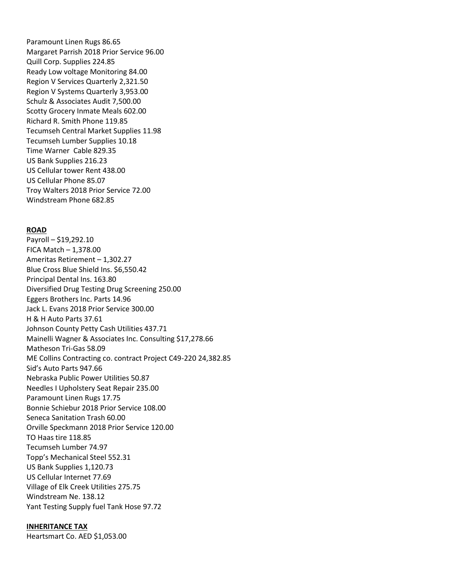Paramount Linen Rugs 86.65 Margaret Parrish 2018 Prior Service 96.00 Quill Corp. Supplies 224.85 Ready Low voltage Monitoring 84.00 Region V Services Quarterly 2,321.50 Region V Systems Quarterly 3,953.00 Schulz & Associates Audit 7,500.00 Scotty Grocery Inmate Meals 602.00 Richard R. Smith Phone 119.85 Tecumseh Central Market Supplies 11.98 Tecumseh Lumber Supplies 10.18 Time Warner Cable 829.35 US Bank Supplies 216.23 US Cellular tower Rent 438.00 US Cellular Phone 85.07 Troy Walters 2018 Prior Service 72.00 Windstream Phone 682.85

# **ROAD**

Payroll – \$19,292.10 FICA Match – 1,378.00 Ameritas Retirement – 1,302.27 Blue Cross Blue Shield Ins. \$6,550.42 Principal Dental Ins. 163.80 Diversified Drug Testing Drug Screening 250.00 Eggers Brothers Inc. Parts 14.96 Jack L. Evans 2018 Prior Service 300.00 H & H Auto Parts 37.61 Johnson County Petty Cash Utilities 437.71 Mainelli Wagner & Associates Inc. Consulting \$17,278.66 Matheson Tri-Gas 58.09 ME Collins Contracting co. contract Project C49-220 24,382.85 Sid's Auto Parts 947.66 Nebraska Public Power Utilities 50.87 Needles I Upholstery Seat Repair 235.00 Paramount Linen Rugs 17.75 Bonnie Schiebur 2018 Prior Service 108.00 Seneca Sanitation Trash 60.00 Orville Speckmann 2018 Prior Service 120.00 TO Haas tire 118.85 Tecumseh Lumber 74.97 Topp's Mechanical Steel 552.31 US Bank Supplies 1,120.73 US Cellular Internet 77.69 Village of Elk Creek Utilities 275.75 Windstream Ne. 138.12 Yant Testing Supply fuel Tank Hose 97.72

#### **INHERITANCE TAX**

Heartsmart Co. AED \$1,053.00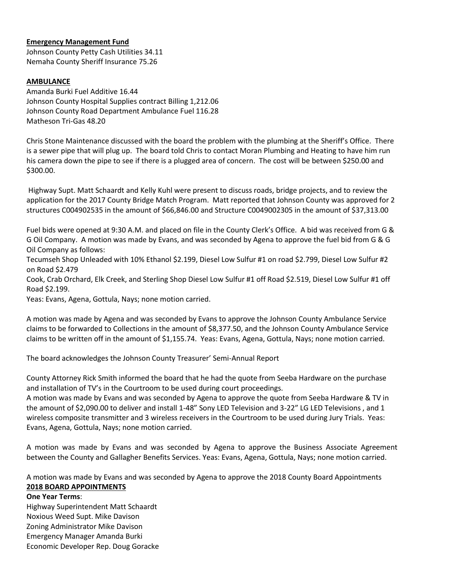# **Emergency Management Fund**

Johnson County Petty Cash Utilities 34.11 Nemaha County Sheriff Insurance 75.26

# **AMBULANCE**

Amanda Burki Fuel Additive 16.44 Johnson County Hospital Supplies contract Billing 1,212.06 Johnson County Road Department Ambulance Fuel 116.28 Matheson Tri-Gas 48.20

Chris Stone Maintenance discussed with the board the problem with the plumbing at the Sheriff's Office. There is a sewer pipe that will plug up. The board told Chris to contact Moran Plumbing and Heating to have him run his camera down the pipe to see if there is a plugged area of concern. The cost will be between \$250.00 and \$300.00.

Highway Supt. Matt Schaardt and Kelly Kuhl were present to discuss roads, bridge projects, and to review the application for the 2017 County Bridge Match Program. Matt reported that Johnson County was approved for 2 structures C004902535 in the amount of \$66,846.00 and Structure C0049002305 in the amount of \$37,313.00

Fuel bids were opened at 9:30 A.M. and placed on file in the County Clerk's Office. A bid was received from G & G Oil Company. A motion was made by Evans, and was seconded by Agena to approve the fuel bid from G & G Oil Company as follows:

Tecumseh Shop Unleaded with 10% Ethanol \$2.199, Diesel Low Sulfur #1 on road \$2.799, Diesel Low Sulfur #2 on Road \$2.479

Cook, Crab Orchard, Elk Creek, and Sterling Shop Diesel Low Sulfur #1 off Road \$2.519, Diesel Low Sulfur #1 off Road \$2.199.

Yeas: Evans, Agena, Gottula, Nays; none motion carried.

A motion was made by Agena and was seconded by Evans to approve the Johnson County Ambulance Service claims to be forwarded to Collections in the amount of \$8,377.50, and the Johnson County Ambulance Service claims to be written off in the amount of \$1,155.74. Yeas: Evans, Agena, Gottula, Nays; none motion carried.

The board acknowledges the Johnson County Treasurer' Semi-Annual Report

County Attorney Rick Smith informed the board that he had the quote from Seeba Hardware on the purchase and installation of TV's in the Courtroom to be used during court proceedings.

A motion was made by Evans and was seconded by Agena to approve the quote from Seeba Hardware & TV in the amount of \$2,090.00 to deliver and install 1-48" Sony LED Television and 3-22" LG LED Televisions , and 1 wireless composite transmitter and 3 wireless receivers in the Courtroom to be used during Jury Trials. Yeas: Evans, Agena, Gottula, Nays; none motion carried.

A motion was made by Evans and was seconded by Agena to approve the Business Associate Agreement between the County and Gallagher Benefits Services. Yeas: Evans, Agena, Gottula, Nays; none motion carried.

A motion was made by Evans and was seconded by Agena to approve the 2018 County Board Appointments **2018 BOARD APPOINTMENTS**

## **One Year Terms**:

Highway Superintendent Matt Schaardt Noxious Weed Supt. Mike Davison Zoning Administrator Mike Davison Emergency Manager Amanda Burki Economic Developer Rep. Doug Goracke